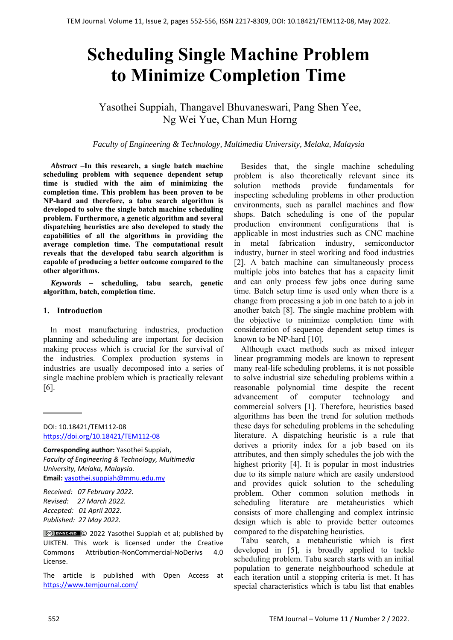# **Scheduling Single Machine Problem to Minimize Completion Time**

Yasothei Suppiah, Thangavel Bhuvaneswari, Pang Shen Yee, Ng Wei Yue, Chan Mun Horng

#### *Faculty of Engineering & Technology, Multimedia University, Melaka, Malaysia*

*Abstract –***In this research, a single batch machine scheduling problem with sequence dependent setup time is studied with the aim of minimizing the completion time. This problem has been proven to be NP-hard and therefore, a tabu search algorithm is developed to solve the single batch machine scheduling problem. Furthermore, a genetic algorithm and several dispatching heuristics are also developed to study the capabilities of all the algorithms in providing the average completion time. The computational result reveals that the developed tabu search algorithm is capable of producing a better outcome compared to the other algorithms.** 

*Keywords –* **scheduling, tabu search, genetic algorithm, batch, completion time.** 

#### **1. Introduction**

In most manufacturing industries, production planning and scheduling are important for decision making process which is crucial for the survival of the industries. Complex production systems in industries are usually decomposed into a series of single machine problem which is practically relevant [6].

DOI: 10.18421/TEM112-08 [https://doi.org/10.18421/TEM112](https://doi.org/10.18421/TEM112-08)-08

**Corresponding author:** Yasothei Suppiah, *Faculty of Engineering & Technology, Multimedia University, Melaka, Malaysia.*  **Email:** yasothei.suppiah@mmu.edu.my

*Received: 07 February 2022. Revised: 27 March 2022. Accepted: 01 April 2022. Published: 27 May 2022.* 

© 2022 Yasothei Suppiah et al; published by UIKTEN. This work is licensed under the Creative Commons Attribution‐NonCommercial‐NoDerivs 4.0 License.

The article is published with Open Access at https://www.temjournal.com/

Besides that, the single machine scheduling problem is also theoretically relevant since its solution methods provide fundamentals for inspecting scheduling problems in other production environments, such as parallel machines and flow shops. Batch scheduling is one of the popular production environment configurations that is applicable in most industries such as CNC machine in metal fabrication industry, semiconductor industry, burner in steel working and food industries [2]. A batch machine can simultaneously process multiple jobs into batches that has a capacity limit and can only process few jobs once during same time. Batch setup time is used only when there is a change from processing a job in one batch to a job in another batch [8]. The single machine problem with the objective to minimize completion time with consideration of sequence dependent setup times is known to be NP-hard [10].

Although exact methods such as mixed integer linear programming models are known to represent many real-life scheduling problems, it is not possible to solve industrial size scheduling problems within a reasonable polynomial time despite the recent advancement of computer technology and commercial solvers [1]. Therefore, heuristics based algorithms has been the trend for solution methods these days for scheduling problems in the scheduling literature. A dispatching heuristic is a rule that derives a priority index for a job based on its attributes, and then simply schedules the job with the highest priority [4]. It is popular in most industries due to its simple nature which are easily understood and provides quick solution to the scheduling problem. Other common solution methods in scheduling literature are metaheuristics which consists of more challenging and complex intrinsic design which is able to provide better outcomes compared to the dispatching heuristics.

Tabu search, a metaheuristic which is first developed in [5], is broadly applied to tackle scheduling problem. Tabu search starts with an initial population to generate neighbourhood schedule at each iteration until a stopping criteria is met. It has special characteristics which is tabu list that enables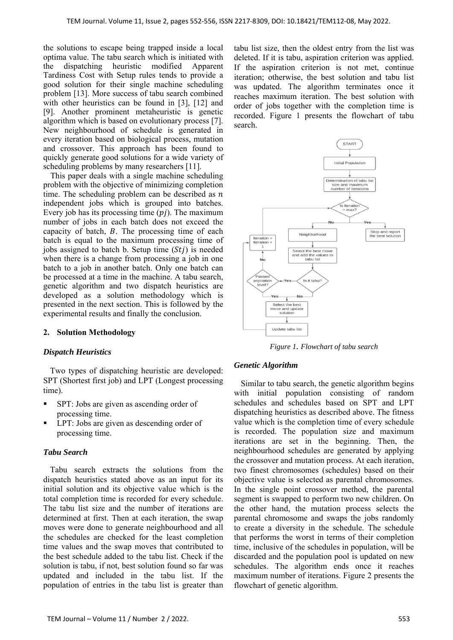the solutions to escape being trapped inside a local optima value. The tabu search which is initiated with the dispatching heuristic modified Apparent Tardiness Cost with Setup rules tends to provide a good solution for their single machine scheduling problem [13]. More success of tabu search combined with other heuristics can be found in [3], [12] and [9]. Another prominent metaheuristic is genetic algorithm which is based on evolutionary process [7]. New neighbourhood of schedule is generated in every iteration based on biological process, mutation and crossover. This approach has been found to quickly generate good solutions for a wide variety of scheduling problems by many researchers [11].

This paper deals with a single machine scheduling problem with the objective of minimizing completion time. The scheduling problem can be described as  $n$ independent jobs which is grouped into batches. Every job has its processing time  $(p_i)$ . The maximum number of jobs in each batch does not exceed the capacity of batch,  $B$ . The processing time of each batch is equal to the maximum processing time of jobs assigned to batch b. Setup time  $(Sti)$  is needed when there is a change from processing a job in one batch to a job in another batch. Only one batch can be processed at a time in the machine. A tabu search, genetic algorithm and two dispatch heuristics are developed as a solution methodology which is presented in the next section. This is followed by the experimental results and finally the conclusion.

## **2. Solution Methodology**

## *Dispatch Heuristics*

Two types of dispatching heuristic are developed: SPT (Shortest first job) and LPT (Longest processing time).

- SPT: Jobs are given as ascending order of processing time.
- LPT: Jobs are given as descending order of processing time.

# *Tabu Search*

Tabu search extracts the solutions from the dispatch heuristics stated above as an input for its initial solution and its objective value which is the total completion time is recorded for every schedule. The tabu list size and the number of iterations are determined at first. Then at each iteration, the swap moves were done to generate neighbourhood and all the schedules are checked for the least completion time values and the swap moves that contributed to the best schedule added to the tabu list. Check if the solution is tabu, if not, best solution found so far was updated and included in the tabu list. If the population of entries in the tabu list is greater than

tabu list size, then the oldest entry from the list was deleted. If it is tabu, aspiration criterion was applied. If the aspiration criterion is not met, continue iteration; otherwise, the best solution and tabu list was updated. The algorithm terminates once it reaches maximum iteration. The best solution with order of jobs together with the completion time is recorded. Figure 1 presents the flowchart of tabu search.



*Figure 1. Flowchart of tabu search* 

## *Genetic Algorithm*

Similar to tabu search, the genetic algorithm begins with initial population consisting of random schedules and schedules based on SPT and LPT dispatching heuristics as described above. The fitness value which is the completion time of every schedule is recorded. The population size and maximum iterations are set in the beginning. Then, the neighbourhood schedules are generated by applying the crossover and mutation process. At each iteration, two finest chromosomes (schedules) based on their objective value is selected as parental chromosomes. In the single point crossover method, the parental segment is swapped to perform two new children. On the other hand, the mutation process selects the parental chromosome and swaps the jobs randomly to create a diversity in the schedule. The schedule that performs the worst in terms of their completion time, inclusive of the schedules in population, will be discarded and the population pool is updated on new schedules. The algorithm ends once it reaches maximum number of iterations. Figure 2 presents the flowchart of genetic algorithm.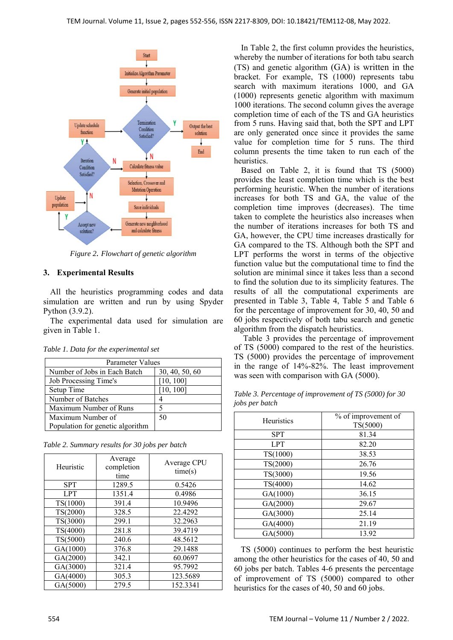

*Figure 2. Flowchart of genetic algorithm* 

# **3. Experimental Results**

All the heuristics programming codes and data simulation are written and run by using Spyder Python (3.9.2).

The experimental data used for simulation are given in Table 1.

| Parameter Values                 |                |
|----------------------------------|----------------|
| Number of Jobs in Each Batch     | 30, 40, 50, 60 |
| Job Processing Time's            | [10, 100]      |
| Setup Time                       | [10, 100]      |
| Number of Batches                |                |
| Maximum Number of Runs           |                |
| Maximum Number of                | 50             |
| Population for genetic algorithm |                |

*Table 1. Data for the experimental set* 

*Table 2. Summary results for 30 jobs per batch* 

| Heuristic  | Average<br>completion<br>time | Average CPU<br>time(s) |
|------------|-------------------------------|------------------------|
| <b>SPT</b> | 1289.5                        | 0.5426                 |
| <b>LPT</b> | 1351.4                        | 0.4986                 |
| TS(1000)   | 391.4                         | 10.9496                |
| TS(2000)   | 328.5                         | 22.4292                |
| TS(3000)   | 299.1                         | 32.2963                |
| TS(4000)   | 281.8                         | 39.4719                |
| TS(5000)   | 240.6                         | 48.5612                |
| GA(1000)   | 376.8                         | 29.1488                |
| GA(2000)   | 342.1                         | 60.0697                |
| GA(3000)   | 321.4                         | 95.7992                |
| GA(4000)   | 305.3                         | 123.5689               |
| GA(5000)   | 279.5                         | 152.3341               |

In Table 2, the first column provides the heuristics, whereby the number of iterations for both tabu search (TS) and genetic algorithm (GA) is written in the bracket. For example, TS (1000) represents tabu search with maximum iterations 1000, and GA (1000) represents genetic algorithm with maximum 1000 iterations. The second column gives the average completion time of each of the TS and GA heuristics from 5 runs. Having said that, both the SPT and LPT are only generated once since it provides the same value for completion time for 5 runs. The third column presents the time taken to run each of the heuristics.

Based on Table 2, it is found that TS (5000) provides the least completion time which is the best performing heuristic. When the number of iterations increases for both TS and GA, the value of the completion time improves (decreases). The time taken to complete the heuristics also increases when the number of iterations increases for both TS and GA, however, the CPU time increases drastically for GA compared to the TS. Although both the SPT and LPT performs the worst in terms of the objective function value but the computational time to find the solution are minimal since it takes less than a second to find the solution due to its simplicity features. The results of all the computational experiments are presented in Table 3, Table 4, Table 5 and Table 6 for the percentage of improvement for 30, 40, 50 and 60 jobs respectively of both tabu search and genetic algorithm from the dispatch heuristics.

 Table 3 provides the percentage of improvement of TS (5000) compared to the rest of the heuristics. TS (5000) provides the percentage of improvement in the range of 14%-82%. The least improvement was seen with comparison with GA (5000).

| <b>Heuristics</b> | % of improvement of<br>TS(5000) |
|-------------------|---------------------------------|
| <b>SPT</b>        | 81.34                           |
| <b>LPT</b>        | 82.20                           |
| TS(1000)          | 38.53                           |
| TS(2000)          | 26.76                           |
| TS(3000)          | 19.56                           |
| TS(4000)          | 14.62                           |
| GA(1000)          | 36.15                           |
| GA(2000)          | 29.67                           |
| GA(3000)          | 25.14                           |
| GA(4000)          | 21.19                           |
| GA(5000)          | 13.92                           |

*Table 3. Percentage of improvement of TS (5000) for 30 jobs per batch*

TS (5000) continues to perform the best heuristic among the other heuristics for the cases of 40, 50 and 60 jobs per batch. Tables 4-6 presents the percentage of improvement of TS (5000) compared to other heuristics for the cases of 40, 50 and 60 jobs.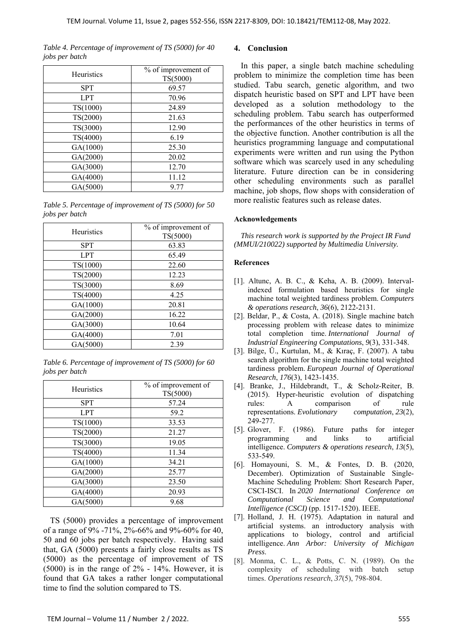*Table 4. Percentage of improvement of TS (5000) for 40 jobs per batch* 

| Heuristics | % of improvement of<br>TS(5000) |
|------------|---------------------------------|
| <b>SPT</b> | 69.57                           |
| <b>LPT</b> | 70.96                           |
| TS(1000)   | 24.89                           |
| TS(2000)   | 21.63                           |
| TS(3000)   | 12.90                           |
| TS(4000)   | 6.19                            |
| GA(1000)   | 25.30                           |
| GA(2000)   | 20.02                           |
| GA(3000)   | 12.70                           |
| GA(4000)   | 11.12                           |
| GA(5000)   | 9.77                            |

*Table 5. Percentage of improvement of TS (5000) for 50 jobs per batch* 

| <b>Heuristics</b> | % of improvement of<br>TS(5000) |
|-------------------|---------------------------------|
| <b>SPT</b>        | 63.83                           |
| <b>LPT</b>        | 65.49                           |
| TS(1000)          | 22.60                           |
| TS(2000)          | 12.23                           |
| TS(3000)          | 8.69                            |
| TS(4000)          | 4.25                            |
| GA(1000)          | 20.81                           |
| GA(2000)          | 16.22                           |
| GA(3000)          | 10.64                           |
| GA(4000)          | 7.01                            |
| GA(5000)          | 2.39                            |

*Table 6. Percentage of improvement of TS (5000) for 60 jobs per batch*

| <b>Heuristics</b> | % of improvement of<br>TS(5000) |
|-------------------|---------------------------------|
| <b>SPT</b>        | 57.24                           |
| <b>LPT</b>        | 59.2                            |
| TS(1000)          | 33.53                           |
| TS(2000)          | 21.27                           |
| TS(3000)          | 19.05                           |
| TS(4000)          | 11.34                           |
| GA(1000)          | 34.21                           |
| GA(2000)          | 25.77                           |
| GA(3000)          | 23.50                           |
| GA(4000)          | 20.93                           |
| GA(5000)          | 9.68                            |

TS (5000) provides a percentage of improvement of a range of 9% -71%, 2%-66% and 9%-60% for 40, 50 and 60 jobs per batch respectively. Having said that, GA (5000) presents a fairly close results as TS (5000) as the percentage of improvement of TS (5000) is in the range of 2% - 14%. However, it is found that GA takes a rather longer computational time to find the solution compared to TS.

## **4. Conclusion**

In this paper, a single batch machine scheduling problem to minimize the completion time has been studied. Tabu search, genetic algorithm, and two dispatch heuristic based on SPT and LPT have been developed as a solution methodology to the scheduling problem. Tabu search has outperformed the performances of the other heuristics in terms of the objective function. Another contribution is all the heuristics programming language and computational experiments were written and run using the Python software which was scarcely used in any scheduling literature. Future direction can be in considering other scheduling environments such as parallel machine, job shops, flow shops with consideration of more realistic features such as release dates.

#### **Acknowledgements**

*This research work is supported by the Project IR Fund (MMUI/210022) supported by Multimedia University.* 

#### **References**

- [1]. Altunc, A. B. C., & Keha, A. B. (2009). Intervalindexed formulation based heuristics for single machine total weighted tardiness problem. *Computers & operations research*, *36*(6), 2122-2131.
- [2]. Beldar, P., & Costa, A. (2018). Single machine batch processing problem with release dates to minimize total completion time. *International Journal of Industrial Engineering Computations*, *9*(3), 331-348.
- [3]. Bilge, Ü., Kurtulan, M., & Kıraç, F. (2007). A tabu search algorithm for the single machine total weighted tardiness problem. *European Journal of Operational Research*, *176*(3), 1423-1435.
- [4]. Branke, J., Hildebrandt, T., & Scholz-Reiter, B. (2015). Hyper-heuristic evolution of dispatching rules: A comparison of rule representations. *Evolutionary computation*, *23*(2), 249-277.
- [5]. Glover, F. (1986). Future paths for integer programming and links to artificial intelligence. *Computers & operations research*, *13*(5), 533-549.
- [6]. Homayouni, S. M., & Fontes, D. B. (2020, December). Optimization of Sustainable Single-Machine Scheduling Problem: Short Research Paper, CSCI-ISCI. In *2020 International Conference on Computational Science and Computational Intelligence (CSCI)* (pp. 1517-1520). IEEE.
- [7]. Holland, J. H. (1975). Adaptation in natural and artificial systems. an introductory analysis with applications to biology, control and artificial intelligence. *Ann Arbor: University of Michigan Press*.
- [8]. Monma, C. L., & Potts, C. N. (1989). On the complexity of scheduling with batch setup times. *Operations research*, *37*(5), 798-804.